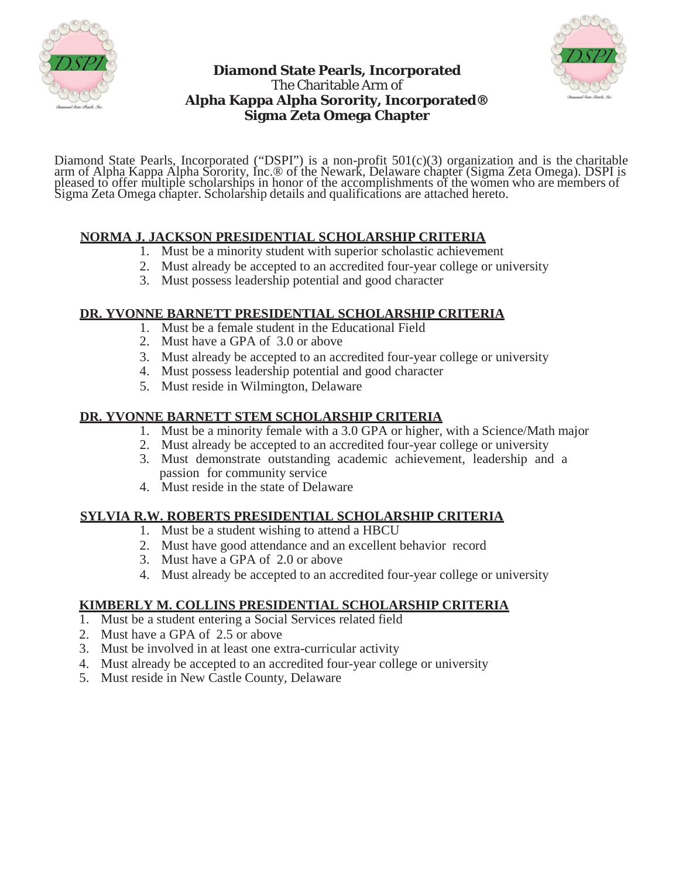



# **Diamond State Pearls, Incorporated** The Charitable Arm of **Alpha Kappa Alpha Sorority, Incorporated® Sigma Zeta Omega Chapter**

Diamond State Pearls, Incorporated ("DSPI") is a non-profit 501(c)(3) organization and is the charitable arm of Alpha Kappa Alpha Sorority, Inc.® of the Newark, Delaware chapter (Sigma Zeta Omega). DSPI is pleased to offer multiple scholarships in honor of the accomplishments of the women who are members of Sigma Zeta Omega chapter. Scholarship details and qualifications are attached hereto.

### **NORMA J. JACKSON PRESIDENTIAL SCHOLARSHIP CRITERIA**

- 1. Must be a minority student with superior scholastic achievement
- 2. Must already be accepted to an accredited four-year college or university
- 3. Must possess leadership potential and good character

## **DR. YVONNE BARNETT PRESIDENTIAL SCHOLARSHIP CRITERIA**

- 1. Must be a female student in the Educational Field
- 2. Must have a GPA of 3.0 or above
- 3. Must already be accepted to an accredited four-year college or university
- 4. Must possess leadership potential and good character
- 5. Must reside in Wilmington, Delaware

### **DR. YVONNE BARNETT STEM SCHOLARSHIP CRITERIA**

- 1. Must be a minority female with a 3.0 GPA or higher, with a Science/Math major
- 2. Must already be accepted to an accredited four-year college or university
- 3. Must demonstrate outstanding academic achievement, leadership and a passion for community service
- 4. Must reside in the state of Delaware

# **SYLVIA R.W. ROBERTS PRESIDENTIAL SCHOLARSHIP CRITERIA**

- 1. Must be a student wishing to attend a HBCU
- 2. Must have good attendance and an excellent behavior record
- 3. Must have a GPA of 2.0 or above
- 4. Must already be accepted to an accredited four-year college or university

### **KIMBERLY M. COLLINS PRESIDENTIAL SCHOLARSHIP CRITERIA**

- 1. Must be a student entering a Social Services related field
- 2. Must have a GPA of 2.5 or above
- 3. Must be involved in at least one extra-curricular activity
- 4. Must already be accepted to an accredited four-year college or university
- 5. Must reside in New Castle County, Delaware